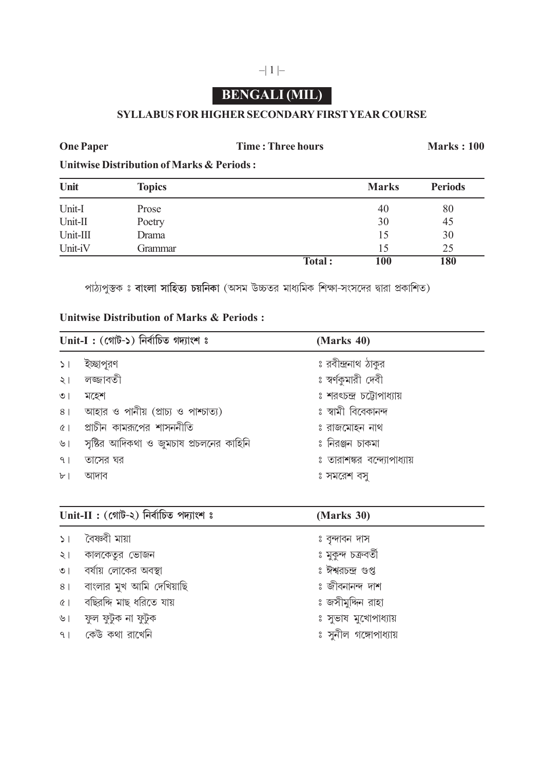## **BENGALI (MIL)**

## **SYLLABUS FOR HIGHER SECONDARY FIRST YEAR COURSE**

**One Paper Time : Three hours Marks : 100** 

**Unitwise Distribution of Marks & Periods :**

| Unit     | <b>Topics</b> |        | <b>Marks</b> | <b>Periods</b> |
|----------|---------------|--------|--------------|----------------|
| Unit-I   | Prose         |        | 40           | 80             |
| Unit-II  | Poetry        |        | 30           | 45             |
| Unit-III | Drama         |        | 15           | 30             |
| Unit-iV  | Grammar       |        | 15           | 25             |
|          |               | Total: | 100          | 180            |

সাঠ্যপুস্তক ঃ **বাংলা সাহিত্য চয়নিকা** (অসম উচ্চতর মাধ্যমিক শিক্ষা-সংসদের দ্বারা প্রকাশিত)

## **Unitwise Distribution of Marks & Periods :**

| $Unit-I: (c$ গট-১) নিৰ্বাচিত গদ্যাংশ ঃ |                                         | (Marks 40)                  |
|----------------------------------------|-----------------------------------------|-----------------------------|
| 51                                     | ইচ্ছাপুরণ                               | ঃ রবীন্দ্রনাথ ঠাকুর         |
| $\lambda$                              | লজ্জাবতী                                | ঃ স্বর্ণকুমারী দেবী         |
| $\circ$                                | মহেশ                                    | ঃ শরৎচন্দ্র চট্টোপাধ্যায়   |
| 8 <sup>1</sup>                         | আহার ও পানীয় (প্রাচ্য ও পাশ্চাত্য)     | ঃ স্বামী বিবেকানন্দ         |
| (8)                                    | প্রাচীন কামরূপের শাসননীতি               | ঃ রাজমোহন নাথ               |
| ৬।                                     | সৃষ্টির আদিকথা ও জুমচাষ প্রচলনের কাহিনি | ঃ নিরঞ্জন চাকমা             |
| 9 <sub>1</sub>                         | তাসের ঘর                                | ঃ তারাশঙ্কর বন্দ্যোপাধ্যায় |
| $b$ <sup>-</sup>                       | আদাব                                    | ঃ সমরেশ বসু                 |
|                                        |                                         |                             |

| $Unit-II: (c$ গাট-২) নিৰ্বাচিত পদ্যাংশ ঃ |                          | (Marks 30)            |
|------------------------------------------|--------------------------|-----------------------|
| $\geq$                                   | বৈষ্ণ্বী মায়া           | ঃ বৃন্দাবন দাস        |
| $\leq$                                   | কালকেতুর ভোজন            | ঃ মুকুন্দ চক্ৰবৰ্তী   |
| $\circ$                                  | বর্ষায় লোকের অবস্থা     | ঃ ঈশ্বরচন্দ্র গুপ্ত   |
| 8 <sup>1</sup>                           | বাংলার মুখ আমি দেখিয়াছি | ঃ জীবনানন্দ দাশ       |
| (8)                                      | বছিরদ্দি মাছ ধরিতে যায়  | ঃ জসীমুদ্দিন রাহা     |
| ৬।                                       | ফুল ফুটুক না ফুটুক       | ঃ সুভাষ মুখোপাধ্যায়  |
|                                          | ৭। কেউ কথা রাখেনি        | ঃ সুনীল গঙ্গোপাধ্যায় |
|                                          |                          |                       |

## $-|1|$